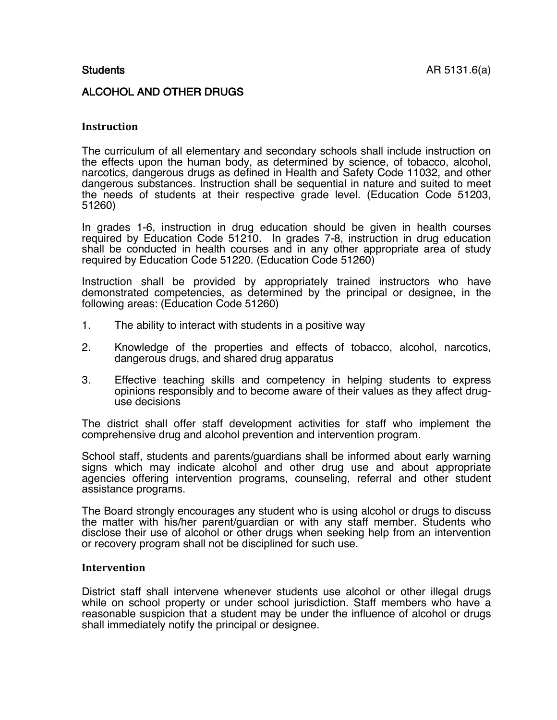# ALCOHOL AND OTHER DRUGS

## **Instruction**

The curriculum of all elementary and secondary schools shall include instruction on the effects upon the human body, as determined by science, of tobacco, alcohol, narcotics, dangerous drugs as defined in Health and Safety Code 11032, and other dangerous substances. Instruction shall be sequential in nature and suited to meet the needs of students at their respective grade level. (Education Code 51203, 51260)

In grades 1-6, instruction in drug education should be given in health courses required by Education Code 51210. In grades 7-8, instruction in drug education shall be conducted in health courses and in any other appropriate area of study required by Education Code 51220. (Education Code 51260)

Instruction shall be provided by appropriately trained instructors who have demonstrated competencies, as determined by the principal or designee, in the following areas: (Education Code 51260)

- 1. The ability to interact with students in a positive way
- 2. Knowledge of the properties and effects of tobacco, alcohol, narcotics, dangerous drugs, and shared drug apparatus
- 3. Effective teaching skills and competency in helping students to express opinions responsibly and to become aware of their values as they affect druguse decisions

The district shall offer staff development activities for staff who implement the comprehensive drug and alcohol prevention and intervention program.

School staff, students and parents/guardians shall be informed about early warning signs which may indicate alcohol and other drug use and about appropriate agencies offering intervention programs, counseling, referral and other student assistance programs.

The Board strongly encourages any student who is using alcohol or drugs to discuss the matter with his/her parent/guardian or with any staff member. Students who disclose their use of alcohol or other drugs when seeking help from an intervention or recovery program shall not be disciplined for such use.

## **Intervention**

District staff shall intervene whenever students use alcohol or other illegal drugs while on school property or under school jurisdiction. Staff members who have a reasonable suspicion that a student may be under the influence of alcohol or drugs shall immediately notify the principal or designee.